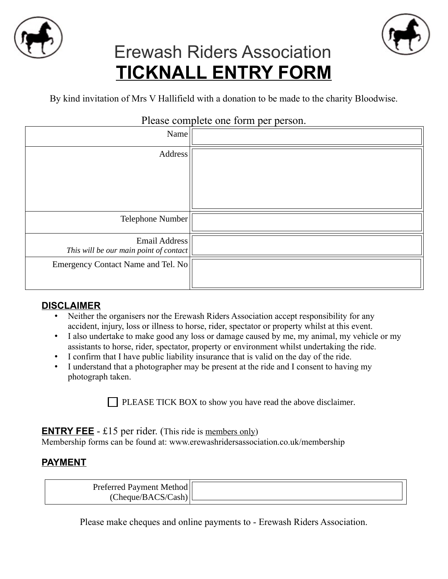



# Erewash Riders Association **TICKNALL ENTRY FORM**

By kind invitation of Mrs V Hallifield with a donation to be made to the charity Bloodwise.

| Please complete one form per person.                    |  |
|---------------------------------------------------------|--|
| Name                                                    |  |
| Address                                                 |  |
| Telephone Number                                        |  |
| Email Address<br>This will be our main point of contact |  |
| Emergency Contact Name and Tel. No                      |  |

## Please complete one form per person.

### **DISCLAIMER**

- Neither the organisers nor the Erewash Riders Association accept responsibility for any accident, injury, loss or illness to horse, rider, spectator or property whilst at this event.
- I also undertake to make good any loss or damage caused by me, my animal, my vehicle or my assistants to horse, rider, spectator, property or environment whilst undertaking the ride.
- I confirm that I have public liability insurance that is valid on the day of the ride.
- I understand that a photographer may be present at the ride and I consent to having my photograph taken.

 $\Box$  PLEASE TICK BOX to show you have read the above disclaimer.

**ENTRY FEE** - £15 per rider. (This ride is members only)

Membership forms can be found at: [www.erewashridersassociation.co.uk/membership](http://www.erewashridersassociation.co.uk/membership)

## **PAYMENT**

| Preterred<br><b>Payment Methodl</b> |  |
|-------------------------------------|--|
| Cheque/BACS/C<br>ast.               |  |

Please make cheques and online payments to - Erewash Riders Association.